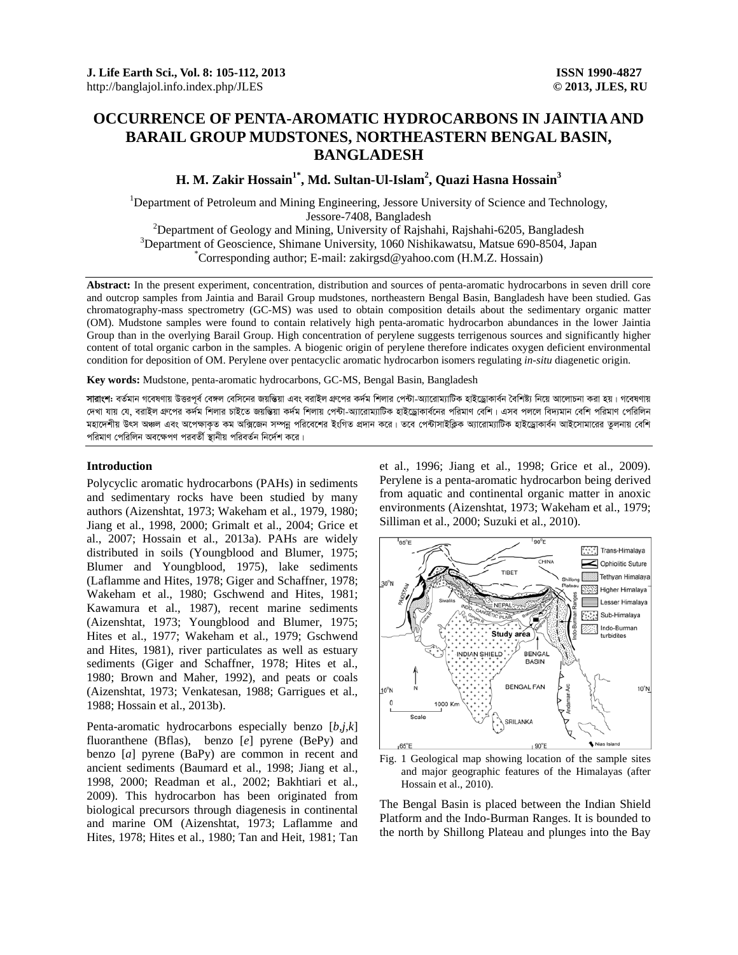# **OCCURRENCE OF PENTA-AROMATIC HYDROCARBONS IN JAINTIA AND BARAIL GROUP MUDSTONES, NORTHEASTERN BENGAL BASIN, BANGLADESH**

**H. M. Zakir Hossain1\*, Md. Sultan-Ul-Islam2 , Quazi Hasna Hossain3** 

<sup>1</sup>Department of Petroleum and Mining Engineering, Jessore University of Science and Technology, Jessore-7408, Bangladesh<br><sup>2</sup>Department of Goology and Mining University of Boiche

 $\mu$ <sup>2</sup>Department of Geology and Mining, University of Rajshahi, Rajshahi-6205, Bangladesh <sup>3</sup>Department of Geograpes, Shimana University, 1060 Nichileausteu, Mateus 600, 8504, Jan  $3$ Department of Geoscience, Shimane University, 1060 Nishikawatsu, Matsue 690-8504, Japan Corresponding author; E-mail: zakirgsd@yahoo.com (H.M.Z. Hossain)

**Abstract:** In the present experiment, concentration, distribution and sources of penta-aromatic hydrocarbons in seven drill core and outcrop samples from Jaintia and Barail Group mudstones, northeastern Bengal Basin, Bangladesh have been studied. Gas chromatography-mass spectrometry (GC-MS) was used to obtain composition details about the sedimentary organic matter (OM). Mudstone samples were found to contain relatively high penta-aromatic hydrocarbon abundances in the lower Jaintia Group than in the overlying Barail Group. High concentration of perylene suggests terrigenous sources and significantly higher content of total organic carbon in the samples. A biogenic origin of perylene therefore indicates oxygen deficient environmental condition for deposition of OM. Perylene over pentacyclic aromatic hydrocarbon isomers regulating *in-situ* diagenetic origin.

**Key words:** Mudstone, penta-aromatic hydrocarbons, GC-MS, Bengal Basin, Bangladesh

**সারাংশ:** বর্তমান গবেষণায় উত্তরপূর্ব বেঙ্গল বেসিনের জয়ভিয়া এবং বরাইল গ্রুপর কর্দম শিলার পেন্টা-অ্যারোম্যাটিক হাইড্রোকার্বন বৈশিষ্ট্য নিয়ে আলোচনা করা হয়। গবেষণায় দেখা যায় যে, বরাইল গ্রুপের কর্দম শিলার চাইতে জয়ম্ভিয়া কর্দম শিলায় পেটা-আরোম্যাটিক হাইডোকার্বনের পরিমাণ বেশি। এসব পললে বিদ্যমান বেশি পরিমাণ পেরিলিন মহাদেশীয় উৎস অঞ্চল এবং অপেক্ষাকত কম অক্সিজেন সম্পন্ন পরিবেশের ইংগিত প্রদান করে। তবে পেন্টাসাইক্লিক আরোম্যাটিক হাইড্রোকার্বন আইসোমারের তুলনায় বেশি পরিমাণ পেরিলিন অবক্ষেপণ পরবর্তী স্থানীয় পরিবর্তন নির্দেশ করে।

## **Introduction**

Polycyclic aromatic hydrocarbons (PAHs) in sediments and sedimentary rocks have been studied by many authors (Aizenshtat, 1973; Wakeham et al., 1979, 1980; Jiang et al., 1998, 2000; Grimalt et al., 2004; Grice et al., 2007; Hossain et al., 2013a). PAHs are widely distributed in soils (Youngblood and Blumer, 1975; Blumer and Youngblood, 1975), lake sediments (Laflamme and Hites, 1978; Giger and Schaffner, 1978; Wakeham et al., 1980; Gschwend and Hites, 1981; Kawamura et al., 1987), recent marine sediments (Aizenshtat, 1973; Youngblood and Blumer, 1975; Hites et al., 1977; Wakeham et al., 1979; Gschwend and Hites, 1981), river particulates as well as estuary sediments (Giger and Schaffner, 1978; Hites et al., 1980; Brown and Maher, 1992), and peats or coals (Aizenshtat, 1973; Venkatesan, 1988; Garrigues et al., 1988; Hossain et al., 2013b).

Penta-aromatic hydrocarbons especially benzo [*b,j,k*] fluoranthene (Bflas), benzo [*e*] pyrene (BePy) and benzo [*a*] pyrene (BaPy) are common in recent and ancient sediments (Baumard et al., 1998; Jiang et al., 1998, 2000; Readman et al., 2002; Bakhtiari et al., 2009). This hydrocarbon has been originated from biological precursors through diagenesis in continental and marine OM (Aizenshtat, 1973; Laflamme and Hites, 1978; Hites et al., 1980; Tan and Heit, 1981; Tan

et al., 1996; Jiang et al., 1998; Grice et al., 2009). Perylene is a penta-aromatic hydrocarbon being derived from aquatic and continental organic matter in anoxic environments (Aizenshtat, 1973; Wakeham et al., 1979; Silliman et al., 2000; Suzuki et al., 2010).



Fig. 1 Geological map showing location of the sample sites and major geographic features of the Himalayas (after Hossain et al., 2010).

The Bengal Basin is placed between the Indian Shield Platform and the Indo-Burman Ranges. It is bounded to the north by Shillong Plateau and plunges into the Bay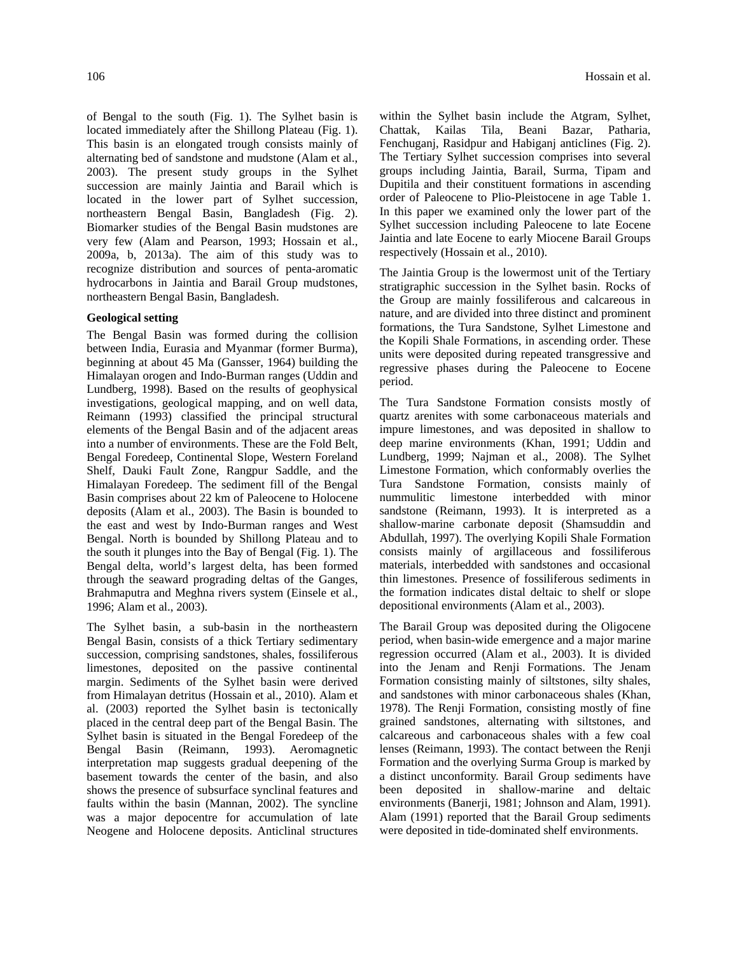of Bengal to the south (Fig. 1). The Sylhet basin is located immediately after the Shillong Plateau (Fig. 1). This basin is an elongated trough consists mainly of alternating bed of sandstone and mudstone (Alam et al., 2003). The present study groups in the Sylhet succession are mainly Jaintia and Barail which is located in the lower part of Sylhet succession, northeastern Bengal Basin, Bangladesh (Fig. 2). Biomarker studies of the Bengal Basin mudstones are very few (Alam and Pearson, 1993; Hossain et al., 2009a, b, 2013a). The aim of this study was to recognize distribution and sources of penta-aromatic hydrocarbons in Jaintia and Barail Group mudstones, northeastern Bengal Basin, Bangladesh.

# **Geological setting**

The Bengal Basin was formed during the collision between India, Eurasia and Myanmar (former Burma), beginning at about 45 Ma (Gansser, 1964) building the Himalayan orogen and Indo-Burman ranges (Uddin and Lundberg, 1998). Based on the results of geophysical investigations, geological mapping, and on well data, Reimann (1993) classified the principal structural elements of the Bengal Basin and of the adjacent areas into a number of environments. These are the Fold Belt, Bengal Foredeep, Continental Slope, Western Foreland Shelf, Dauki Fault Zone, Rangpur Saddle, and the Himalayan Foredeep. The sediment fill of the Bengal Basin comprises about 22 km of Paleocene to Holocene deposits (Alam et al., 2003). The Basin is bounded to the east and west by Indo-Burman ranges and West Bengal. North is bounded by Shillong Plateau and to the south it plunges into the Bay of Bengal (Fig. 1). The Bengal delta, world's largest delta, has been formed through the seaward prograding deltas of the Ganges, Brahmaputra and Meghna rivers system (Einsele et al., 1996; Alam et al., 2003).

The Sylhet basin, a sub-basin in the northeastern Bengal Basin, consists of a thick Tertiary sedimentary succession, comprising sandstones, shales, fossiliferous limestones, deposited on the passive continental margin. Sediments of the Sylhet basin were derived from Himalayan detritus (Hossain et al., 2010). Alam et al. (2003) reported the Sylhet basin is tectonically placed in the central deep part of the Bengal Basin. The Sylhet basin is situated in the Bengal Foredeep of the Bengal Basin (Reimann, 1993). Aeromagnetic interpretation map suggests gradual deepening of the basement towards the center of the basin, and also shows the presence of subsurface synclinal features and faults within the basin (Mannan, 2002). The syncline was a major depocentre for accumulation of late Neogene and Holocene deposits. Anticlinal structures within the Sylhet basin include the Atgram, Sylhet, Chattak, Kailas Tila, Beani Bazar, Patharia, Fenchuganj, Rasidpur and Habiganj anticlines (Fig. 2). The Tertiary Sylhet succession comprises into several groups including Jaintia, Barail, Surma, Tipam and Dupitila and their constituent formations in ascending order of Paleocene to Plio-Pleistocene in age Table 1. In this paper we examined only the lower part of the Sylhet succession including Paleocene to late Eocene Jaintia and late Eocene to early Miocene Barail Groups respectively (Hossain et al., 2010).

The Jaintia Group is the lowermost unit of the Tertiary stratigraphic succession in the Sylhet basin. Rocks of the Group are mainly fossiliferous and calcareous in nature, and are divided into three distinct and prominent formations, the Tura Sandstone, Sylhet Limestone and the Kopili Shale Formations, in ascending order. These units were deposited during repeated transgressive and regressive phases during the Paleocene to Eocene period.

The Tura Sandstone Formation consists mostly of quartz arenites with some carbonaceous materials and impure limestones, and was deposited in shallow to deep marine environments (Khan, 1991; Uddin and Lundberg, 1999; Najman et al., 2008). The Sylhet Limestone Formation, which conformably overlies the Tura Sandstone Formation, consists mainly of nummulitic limestone interbedded with minor sandstone (Reimann, 1993). It is interpreted as a shallow-marine carbonate deposit (Shamsuddin and Abdullah, 1997). The overlying Kopili Shale Formation consists mainly of argillaceous and fossiliferous materials, interbedded with sandstones and occasional thin limestones. Presence of fossiliferous sediments in the formation indicates distal deltaic to shelf or slope depositional environments (Alam et al., 2003).

The Barail Group was deposited during the Oligocene period, when basin-wide emergence and a major marine regression occurred (Alam et al., 2003). It is divided into the Jenam and Renji Formations. The Jenam Formation consisting mainly of siltstones, silty shales, and sandstones with minor carbonaceous shales (Khan, 1978). The Renji Formation, consisting mostly of fine grained sandstones, alternating with siltstones, and calcareous and carbonaceous shales with a few coal lenses (Reimann, 1993). The contact between the Renji Formation and the overlying Surma Group is marked by a distinct unconformity. Barail Group sediments have been deposited in shallow-marine and deltaic environments (Banerji, 1981; Johnson and Alam, 1991). Alam (1991) reported that the Barail Group sediments were deposited in tide-dominated shelf environments.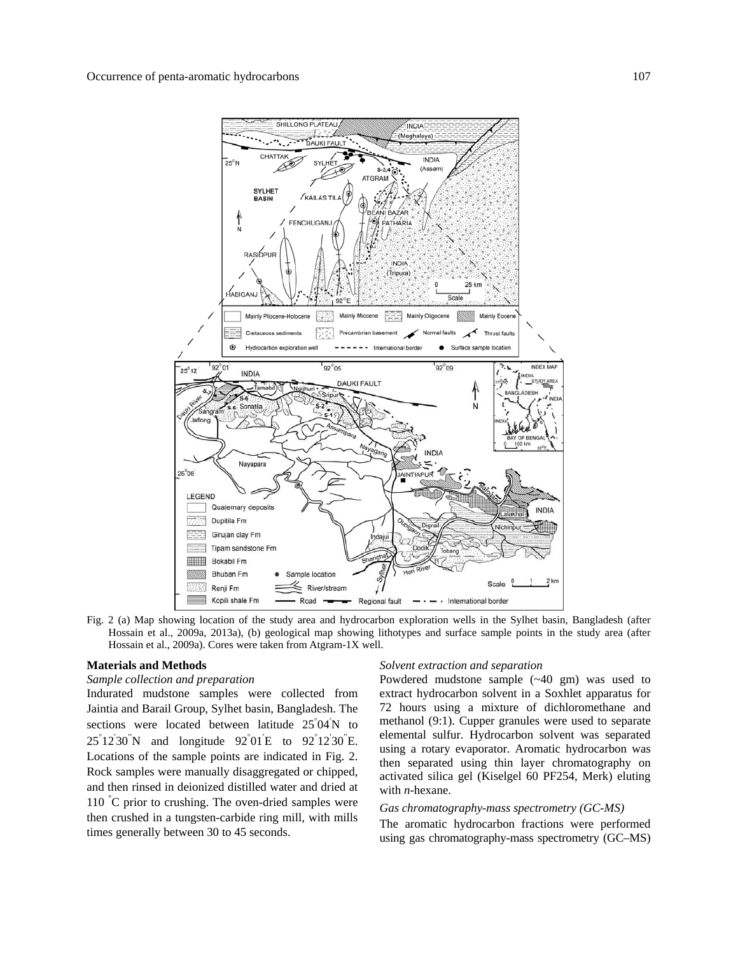

Fig. 2 (a) Map showing location of the study area and hydrocarbon exploration wells in the Sylhet basin, Bangladesh (after Hossain et al., 2009a, 2013a), (b) geological map showing lithotypes and surface sample points in the study area (after Hossain et al., 2009a). Cores were taken from Atgram-1X well.

## **Materials and Methods**

#### *Sample collection and preparation*

Indurated mudstone samples were collected from Jaintia and Barail Group, Sylhet basin, Bangladesh. The sections were located between latitude 25°04<sup>'</sup>N to  $25^{\circ}12'30''$ N and longitude  $92^{\circ}01'E$  to  $92^{\circ}12'30''E$ . Locations of the sample points are indicated in Fig. 2. Rock samples were manually disaggregated or chipped, and then rinsed in deionized distilled water and dried at 110 °C prior to crushing. The oven-dried samples were then crushed in a tungsten-carbide ring mill, with mills times generally between 30 to 45 seconds.

#### *Solvent extraction and separation*

Powdered mudstone sample (~40 gm) was used to extract hydrocarbon solvent in a Soxhlet apparatus for 72 hours using a mixture of dichloromethane and methanol (9:1). Cupper granules were used to separate elemental sulfur. Hydrocarbon solvent was separated using a rotary evaporator. Aromatic hydrocarbon was then separated using thin layer chromatography on activated silica gel (Kiselgel 60 PF254, Merk) eluting with *n*-hexane.

# *Gas chromatography-mass spectrometry (GC-MS)*

The aromatic hydrocarbon fractions were performed using gas chromatography-mass spectrometry (GC–MS)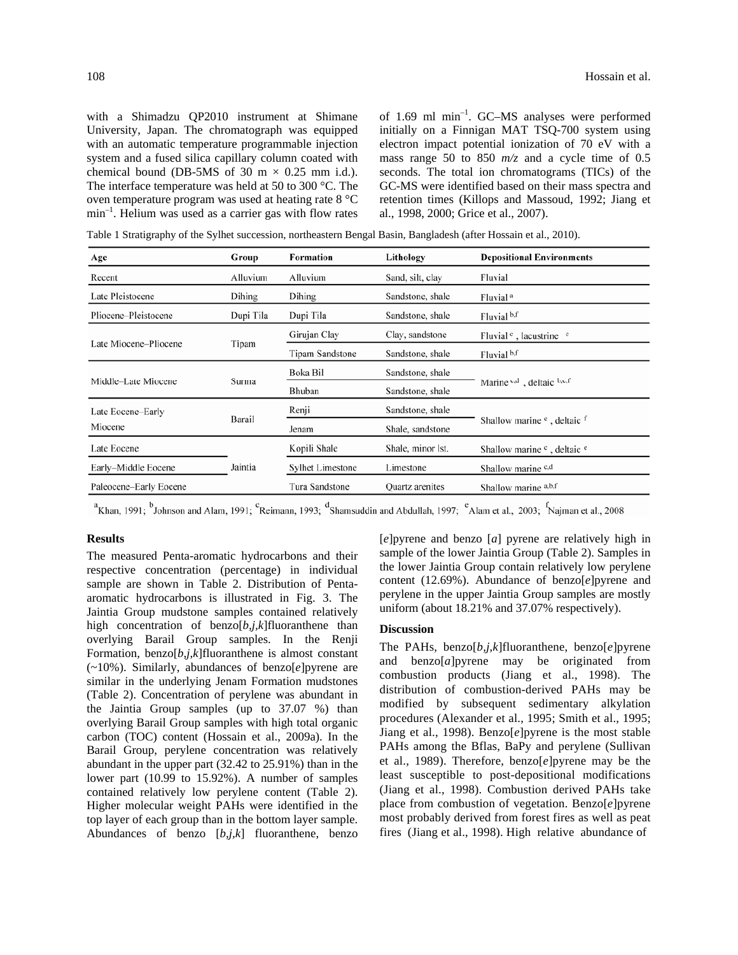with a Shimadzu QP2010 instrument at Shimane University, Japan. The chromatograph was equipped with an automatic temperature programmable injection system and a fused silica capillary column coated with chemical bound (DB-5MS of 30 m  $\times$  0.25 mm i.d.). The interface temperature was held at 50 to 300 °C. The oven temperature program was used at heating rate 8 °C  $min^{-1}$ . Helium was used as a carrier gas with flow rates of 1.69 ml min–1. GC–MS analyses were performed initially on a Finnigan MAT TSQ-700 system using electron impact potential ionization of 70 eV with a mass range 50 to 850 *m/z* and a cycle time of 0.5 seconds. The total ion chromatograms (TICs) of the GC-MS were identified based on their mass spectra and retention times (Killops and Massoud, 1992; Jiang et al., 1998, 2000; Grice et al., 2007).

Table 1 Stratigraphy of the Sylhet succession, northeastern Bengal Basin, Bangladesh (after Hossain et al., 2010).

| Age                    | Group     | Formation                     | Lithology         | <b>Depositional Environments</b>                   |  |
|------------------------|-----------|-------------------------------|-------------------|----------------------------------------------------|--|
| Recent                 | Alluvium  | Alluvium                      | Sand, silt, clay  | Fluvial                                            |  |
| Late Pleistocene       | Dihing    | Dihing                        | Sandstone, shale  | Fluvial <sup>a</sup>                               |  |
| Pliocene-Pleistocene   | Dupi Tila | Dupi Tila<br>Sandstone, shale |                   | Fluvial b,f                                        |  |
| Late Miocene–Pliocene  | Tipam     | Girujan Clay                  | Clay, sandstone   | Fluvial c, lacustrine c                            |  |
|                        |           | Tipam Sandstone               | Sandstone, shale  | Fluvial b,f                                        |  |
| Middle-Late Miocene    | Surma     | Boka Bil                      | Sandstone, shale  |                                                    |  |
|                        |           | Bhuban                        | Sandstone, shale  | Marine $c,d$ , deltaic $b,c,f$                     |  |
| Late Eocene–Early      | Barail    | Renji                         | Sandstone, shale  |                                                    |  |
| Miocene                |           | Jenam                         | Shale, sandstone  | Shallow marine <sup>c</sup> , deltaic f            |  |
| Late Eocene            |           | Kopili Shale                  | Shale, minor lst. | Shallow marine <sup>c</sup> , deltaic <sup>e</sup> |  |
| Early-Middle Eocene    | Jaintia   | <b>Sylhet Limestone</b>       | Limestone         | Shallow marine c,d                                 |  |
| Paleocene–Early Eocene |           | Tura Sandstone                | Quartz arenites   | Shallow marine a,b,f                               |  |

 $^a$ Khan, 1991;  $^b$ Johnson and Alam, 1991;  $^c$ Reimann, 1993;  $^d$ Shamsuddin and Abdullah, 1997;  $^e$ Alam et al., 2003;  $^f$ Najman et al., 2008

# **Results**

The measured Penta-aromatic hydrocarbons and their respective concentration (percentage) in individual sample are shown in Table 2. Distribution of Pentaaromatic hydrocarbons is illustrated in Fig. 3. The Jaintia Group mudstone samples contained relatively high concentration of benzo[*b,j,k*]fluoranthene than overlying Barail Group samples. In the Renji Formation, benzo[*b,j,k*]fluoranthene is almost constant (~10%). Similarly, abundances of benzo[*e*]pyrene are similar in the underlying Jenam Formation mudstones (Table 2). Concentration of perylene was abundant in the Jaintia Group samples (up to 37.07 %) than overlying Barail Group samples with high total organic carbon (TOC) content (Hossain et al., 2009a). In the Barail Group, perylene concentration was relatively abundant in the upper part (32.42 to 25.91%) than in the lower part (10.99 to 15.92%). A number of samples contained relatively low perylene content (Table 2). Higher molecular weight PAHs were identified in the top layer of each group than in the bottom layer sample. Abundances of benzo [*b,j,k*] fluoranthene, benzo [*e*]pyrene and benzo [*a*] pyrene are relatively high in sample of the lower Jaintia Group (Table 2). Samples in the lower Jaintia Group contain relatively low perylene content (12.69%). Abundance of benzo[*e*]pyrene and perylene in the upper Jaintia Group samples are mostly uniform (about 18.21% and 37.07% respectively).

#### **Discussion**

The PAHs, benzo[*b,j,k*]fluoranthene, benzo[*e*]pyrene and benzo[*a*]pyrene may be originated from combustion products (Jiang et al., 1998). The distribution of combustion-derived PAHs may be modified by subsequent sedimentary alkylation procedures (Alexander et al., 1995; Smith et al., 1995; Jiang et al., 1998). Benzo[*e*]pyrene is the most stable PAHs among the Bflas, BaPy and perylene (Sullivan et al., 1989). Therefore, benzo[*e*]pyrene may be the least susceptible to post-depositional modifications (Jiang et al., 1998). Combustion derived PAHs take place from combustion of vegetation. Benzo[*e*]pyrene most probably derived from forest fires as well as peat fires (Jiang et al., 1998). High relative abundance of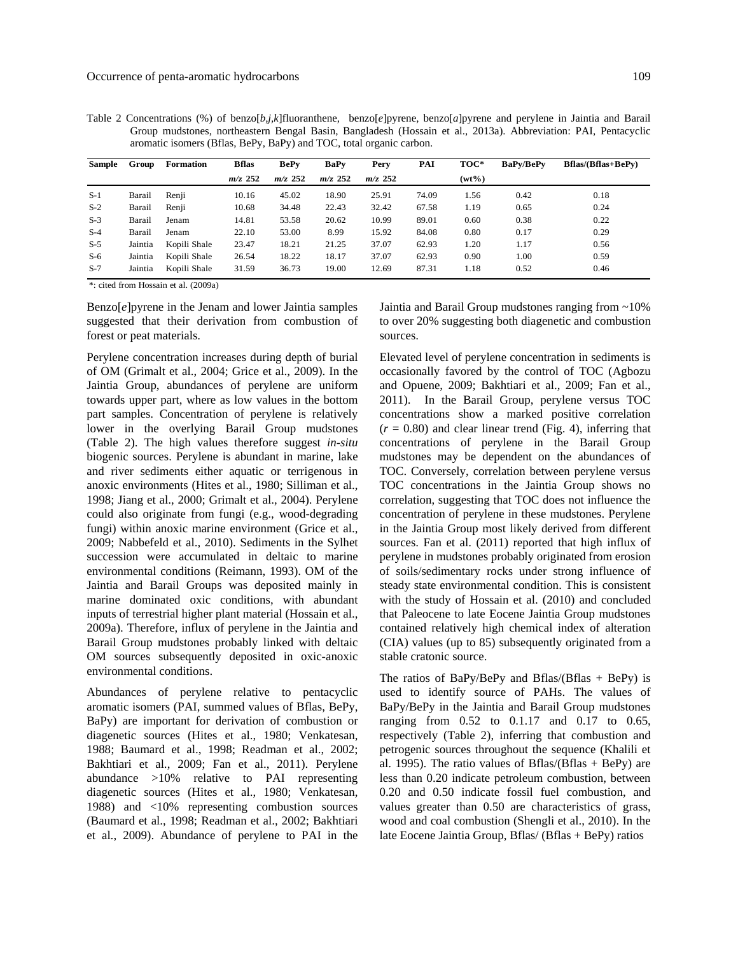Table 2 Concentrations (%) of benzo[*b,j,k*]fluoranthene, benzo[*e*]pyrene, benzo[*a*]pyrene and perylene in Jaintia and Barail Group mudstones, northeastern Bengal Basin, Bangladesh (Hossain et al., 2013a). Abbreviation: PAI, Pentacyclic aromatic isomers (Bflas, BePy, BaPy) and TOC, total organic carbon.

| <b>Sample</b> | Group   | <b>Formation</b> | <b>Bflas</b> | <b>BePy</b> | <b>BaPv</b> | Pery      | PAI   | TOC*     | <b>BaPv/BePv</b> | <b>Bflas/(Bflas+BePy)</b> |
|---------------|---------|------------------|--------------|-------------|-------------|-----------|-------|----------|------------------|---------------------------|
|               |         |                  | $m/z$ 252    | $m/z$ 252   | $m/z$ 252   | $m/z$ 252 |       | $(wt\%)$ |                  |                           |
| $S-1$         | Barail  | Renii            | 10.16        | 45.02       | 18.90       | 25.91     | 74.09 | 1.56     | 0.42             | 0.18                      |
| $S-2$         | Barail  | Renji            | 10.68        | 34.48       | 22.43       | 32.42     | 67.58 | 1.19     | 0.65             | 0.24                      |
| $S-3$         | Barail  | Jenam            | 14.81        | 53.58       | 20.62       | 10.99     | 89.01 | 0.60     | 0.38             | 0.22                      |
| $S-4$         | Barail  | Jenam            | 22.10        | 53.00       | 8.99        | 15.92     | 84.08 | 0.80     | 0.17             | 0.29                      |
| $S-5$         | Jaintia | Kopili Shale     | 23.47        | 18.21       | 21.25       | 37.07     | 62.93 | 1.20     | 1.17             | 0.56                      |
| $S-6$         | Jaintia | Kopili Shale     | 26.54        | 18.22       | 18.17       | 37.07     | 62.93 | 0.90     | 1.00             | 0.59                      |
| $S-7$         | Jaintia | Kopili Shale     | 31.59        | 36.73       | 19.00       | 12.69     | 87.31 | 1.18     | 0.52             | 0.46                      |

\*: cited from Hossain et al. (2009a)

Benzo[*e*]pyrene in the Jenam and lower Jaintia samples suggested that their derivation from combustion of forest or peat materials.

Perylene concentration increases during depth of burial of OM (Grimalt et al., 2004; Grice et al., 2009). In the Jaintia Group, abundances of perylene are uniform towards upper part, where as low values in the bottom part samples. Concentration of perylene is relatively lower in the overlying Barail Group mudstones (Table 2). The high values therefore suggest *in-situ* biogenic sources. Perylene is abundant in marine, lake and river sediments either aquatic or terrigenous in anoxic environments (Hites et al., 1980; Silliman et al., 1998; Jiang et al., 2000; Grimalt et al., 2004). Perylene could also originate from fungi (e.g., wood-degrading fungi) within anoxic marine environment (Grice et al., 2009; Nabbefeld et al., 2010). Sediments in the Sylhet succession were accumulated in deltaic to marine environmental conditions (Reimann, 1993). OM of the Jaintia and Barail Groups was deposited mainly in marine dominated oxic conditions, with abundant inputs of terrestrial higher plant material (Hossain et al., 2009a). Therefore, influx of perylene in the Jaintia and Barail Group mudstones probably linked with deltaic OM sources subsequently deposited in oxic-anoxic environmental conditions.

Abundances of perylene relative to pentacyclic aromatic isomers (PAI, summed values of Bflas, BePy, BaPy) are important for derivation of combustion or diagenetic sources (Hites et al., 1980; Venkatesan, 1988; Baumard et al., 1998; Readman et al., 2002; Bakhtiari et al., 2009; Fan et al., 2011). Perylene abundance >10% relative to PAI representing diagenetic sources (Hites et al., 1980; Venkatesan, 1988) and <10% representing combustion sources (Baumard et al., 1998; Readman et al., 2002; Bakhtiari et al., 2009). Abundance of perylene to PAI in the

Jaintia and Barail Group mudstones ranging from ~10% to over 20% suggesting both diagenetic and combustion sources.

Elevated level of perylene concentration in sediments is occasionally favored by the control of TOC (Agbozu and Opuene, 2009; Bakhtiari et al., 2009; Fan et al., 2011). In the Barail Group, perylene versus TOC concentrations show a marked positive correlation  $(r = 0.80)$  and clear linear trend (Fig. 4), inferring that concentrations of perylene in the Barail Group mudstones may be dependent on the abundances of TOC. Conversely, correlation between perylene versus TOC concentrations in the Jaintia Group shows no correlation, suggesting that TOC does not influence the concentration of perylene in these mudstones. Perylene in the Jaintia Group most likely derived from different sources. Fan et al. (2011) reported that high influx of perylene in mudstones probably originated from erosion of soils/sedimentary rocks under strong influence of steady state environmental condition. This is consistent with the study of Hossain et al. (2010) and concluded that Paleocene to late Eocene Jaintia Group mudstones contained relatively high chemical index of alteration (CIA) values (up to 85) subsequently originated from a stable cratonic source.

The ratios of BaPy/BePy and Bflas/(Bflas + BePy) is used to identify source of PAHs. The values of BaPy/BePy in the Jaintia and Barail Group mudstones ranging from 0.52 to 0.1.17 and 0.17 to 0.65, respectively (Table 2), inferring that combustion and petrogenic sources throughout the sequence (Khalili et al. 1995). The ratio values of Bflas/(Bflas + BePy) are less than 0.20 indicate petroleum combustion, between 0.20 and 0.50 indicate fossil fuel combustion, and values greater than 0.50 are characteristics of grass, wood and coal combustion (Shengli et al., 2010). In the late Eocene Jaintia Group, Bflas/ (Bflas + BePy) ratios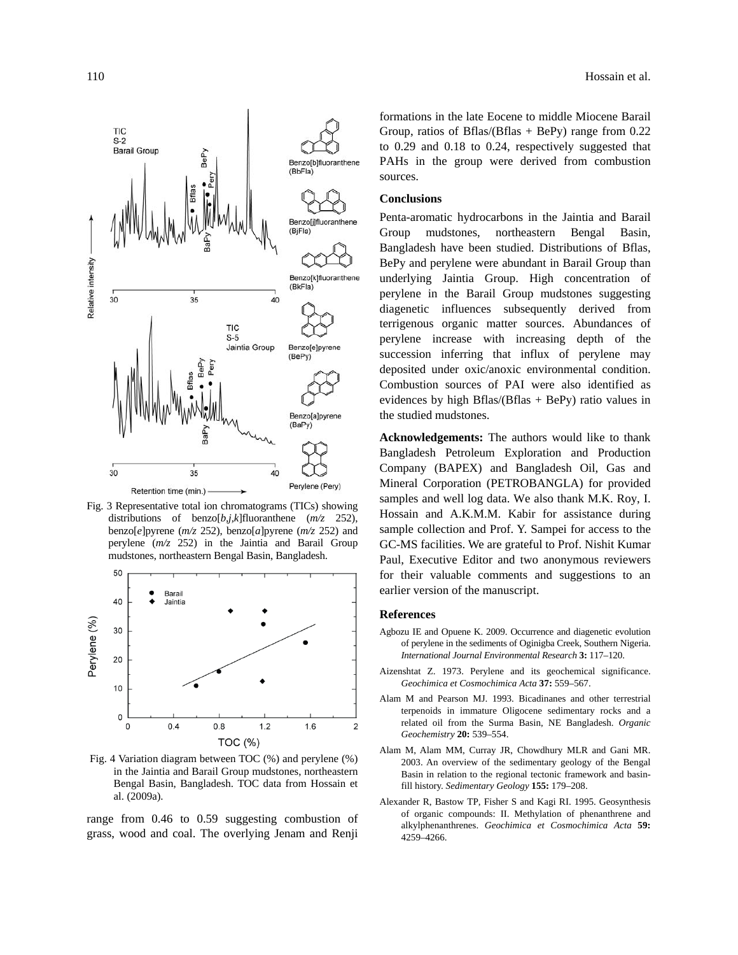



Fig. 3 Representative total ion chromatograms (TICs) showing distributions of benzo[*b,j,k*]fluoranthene (*m/z* 252), benzo[*e*]pyrene (*m/z* 252), benzo[*a*]pyrene (*m/z* 252) and perylene (*m/z* 252) in the Jaintia and Barail Group mudstones, northeastern Bengal Basin, Bangladesh.



Fig. 4 Variation diagram between TOC (%) and perylene (%) in the Jaintia and Barail Group mudstones, northeastern Bengal Basin, Bangladesh. TOC data from Hossain et al. (2009a).

range from 0.46 to 0.59 suggesting combustion of grass, wood and coal. The overlying Jenam and Renji

formations in the late Eocene to middle Miocene Barail Group, ratios of Bflas/(Bflas + BePy) range from  $0.22$ to 0.29 and 0.18 to 0.24, respectively suggested that PAHs in the group were derived from combustion sources.

# **Conclusions**

Penta-aromatic hydrocarbons in the Jaintia and Barail Group mudstones, northeastern Bengal Basin, Bangladesh have been studied. Distributions of Bflas, BePy and perylene were abundant in Barail Group than underlying Jaintia Group. High concentration of perylene in the Barail Group mudstones suggesting diagenetic influences subsequently derived from terrigenous organic matter sources. Abundances of perylene increase with increasing depth of the succession inferring that influx of perylene may deposited under oxic/anoxic environmental condition. Combustion sources of PAI were also identified as evidences by high Bflas/(Bflas  $+$  BePy) ratio values in the studied mudstones.

**Acknowledgements:** The authors would like to thank Bangladesh Petroleum Exploration and Production Company (BAPEX) and Bangladesh Oil, Gas and Mineral Corporation (PETROBANGLA) for provided samples and well log data. We also thank M.K. Roy, I. Hossain and A.K.M.M. Kabir for assistance during sample collection and Prof. Y. Sampei for access to the GC-MS facilities. We are grateful to Prof. Nishit Kumar Paul, Executive Editor and two anonymous reviewers for their valuable comments and suggestions to an earlier version of the manuscript.

# **References**

- Agbozu IE and Opuene K. 2009. Occurrence and diagenetic evolution of perylene in the sediments of Oginigba Creek, Southern Nigeria. *International Journal Environmental Research* **3:** 117–120.
- Aizenshtat Z. 1973. Perylene and its geochemical significance. *Geochimica et Cosmochimica Acta* **37:** 559–567.
- Alam M and Pearson MJ. 1993. Bicadinanes and other terrestrial terpenoids in immature Oligocene sedimentary rocks and a related oil from the Surma Basin, NE Bangladesh. *Organic Geochemistry* **20:** 539–554.
- Alam M, Alam MM, Curray JR, Chowdhury MLR and Gani MR. 2003. An overview of the sedimentary geology of the Bengal Basin in relation to the regional tectonic framework and basinfill history. *Sedimentary Geology* **155:** 179–208.
- Alexander R, Bastow TP, Fisher S and Kagi RI. 1995. Geosynthesis of organic compounds: II. Methylation of phenanthrene and alkylphenanthrenes. *Geochimica et Cosmochimica Acta* **59:** 4259–4266.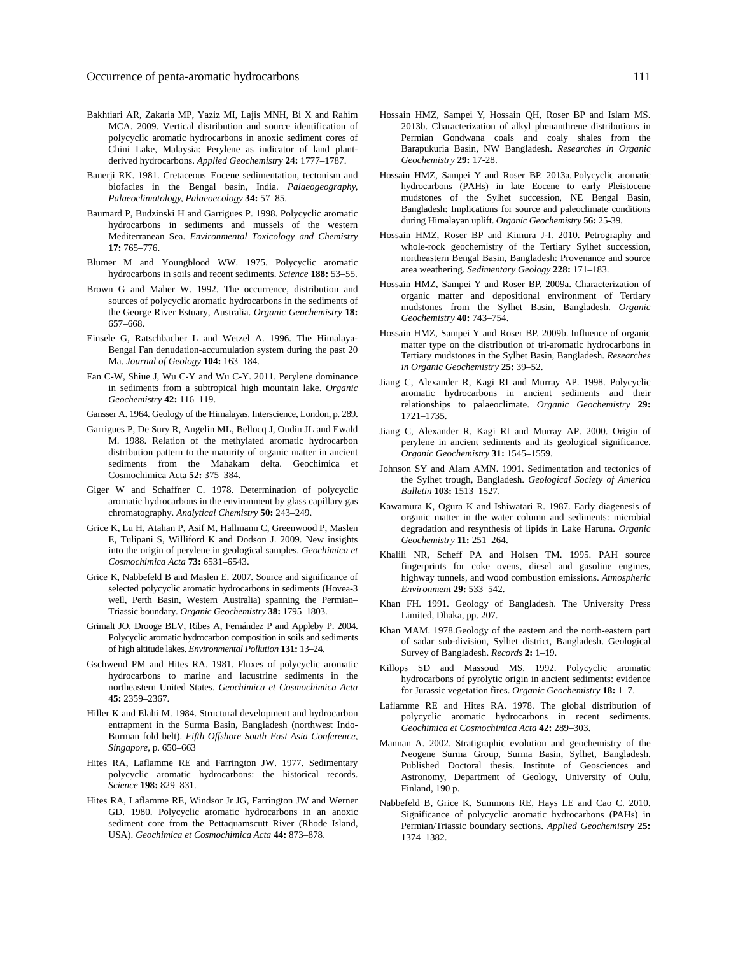- Bakhtiari AR, Zakaria MP, Yaziz MI, Lajis MNH, Bi X and Rahim MCA. 2009. Vertical distribution and source identification of polycyclic aromatic hydrocarbons in anoxic sediment cores of Chini Lake, Malaysia: Perylene as indicator of land plantderived hydrocarbons. *Applied Geochemistry* **24:** 1777–1787.
- Banerii RK. 1981. Cretaceous–Eocene sedimentation, tectonism and biofacies in the Bengal basin, India. *Palaeogeography, Palaeoclimatology, Palaeoecology* **34:** 57–85.
- Baumard P, Budzinski H and Garrigues P. 1998. Polycyclic aromatic hydrocarbons in sediments and mussels of the western Mediterranean Sea. *Environmental Toxicology and Chemistry*  **17:** 765–776.
- Blumer M and Youngblood WW. 1975. Polycyclic aromatic hydrocarbons in soils and recent sediments. *Science* **188:** 53–55.
- Brown G and Maher W. 1992. The occurrence, distribution and sources of polycyclic aromatic hydrocarbons in the sediments of the George River Estuary, Australia. *Organic Geochemistry* **18:** 657–668.
- Einsele G, Ratschbacher L and Wetzel A. 1996. The Himalaya-Bengal Fan denudation-accumulation system during the past 20 Ma. *Journal of Geology* **104:** 163–184.
- Fan C-W, Shiue J, Wu C-Y and Wu C-Y. 2011. Perylene dominance in sediments from a subtropical high mountain lake. *Organic Geochemistry* **42:** 116–119.
- Gansser A. 1964. Geology of the Himalayas. Interscience, London, p. 289.
- Garrigues P, De Sury R, Angelin ML, Bellocq J, Oudin JL and Ewald M. 1988. Relation of the methylated aromatic hydrocarbon distribution pattern to the maturity of organic matter in ancient sediments from the Mahakam delta. Geochimica et Cosmochimica Acta **52:** 375–384.
- Giger W and Schaffner C. 1978. Determination of polycyclic aromatic hydrocarbons in the environment by glass capillary gas chromatography. *Analytical Chemistry* **50:** 243–249.
- Grice K, Lu H, Atahan P, Asif M, Hallmann C, Greenwood P, Maslen E, Tulipani S, Williford K and Dodson J. 2009. New insights into the origin of perylene in geological samples. *Geochimica et Cosmochimica Acta* **73:** 6531–6543.
- Grice K, Nabbefeld B and Maslen E. 2007. Source and significance of selected polycyclic aromatic hydrocarbons in sediments (Hovea-3 well, Perth Basin, Western Australia) spanning the Permian– Triassic boundary. *Organic Geochemistry* **38:** 1795–1803.
- Grimalt JO, Drooge BLV, Ribes A, Fernández P and Appleby P. 2004. Polycyclic aromatic hydrocarbon composition in soils and sediments of high altitude lakes. *Environmental Pollution* **131:** 13–24.
- Gschwend PM and Hites RA. 1981. Fluxes of polycyclic aromatic hydrocarbons to marine and lacustrine sediments in the northeastern United States. *Geochimica et Cosmochimica Acta*  **45:** 2359–2367.
- Hiller K and Elahi M. 1984. Structural development and hydrocarbon entrapment in the Surma Basin, Bangladesh (northwest Indo-Burman fold belt). *Fifth Offshore South East Asia Conference, Singapore*, p. 650–663
- Hites RA, Laflamme RE and Farrington JW. 1977. Sedimentary polycyclic aromatic hydrocarbons: the historical records. *Science* **198:** 829–831.
- Hites RA, Laflamme RE, Windsor Jr JG, Farrington JW and Werner GD. 1980. Polycyclic aromatic hydrocarbons in an anoxic sediment core from the Pettaquamscutt River (Rhode Island, USA). *Geochimica et Cosmochimica Acta* **44:** 873–878.
- Hossain HMZ, Sampei Y, Hossain QH, Roser BP and Islam MS. 2013b. Characterization of alkyl phenanthrene distributions in Permian Gondwana coals and coaly shales from the Barapukuria Basin, NW Bangladesh. *Researches in Organic Geochemistry* **29:** 17-28.
- Hossain HMZ, Sampei Y and Roser BP. 2013a. Polycyclic aromatic hydrocarbons (PAHs) in late Eocene to early Pleistocene mudstones of the Sylhet succession, NE Bengal Basin, Bangladesh: Implications for source and paleoclimate conditions during Himalayan uplift. *Organic Geochemistry* **56:** 25-39.
- Hossain HMZ, Roser BP and Kimura J-I. 2010. Petrography and whole-rock geochemistry of the Tertiary Sylhet succession, northeastern Bengal Basin, Bangladesh: Provenance and source area weathering. *Sedimentary Geology* **228:** 171–183.
- Hossain HMZ, Sampei Y and Roser BP. 2009a. Characterization of organic matter and depositional environment of Tertiary mudstones from the Sylhet Basin, Bangladesh. *Organic Geochemistry* **40:** 743–754.
- Hossain HMZ, Sampei Y and Roser BP. 2009b. Influence of organic matter type on the distribution of tri-aromatic hydrocarbons in Tertiary mudstones in the Sylhet Basin, Bangladesh. *Researches in Organic Geochemistry* **25:** 39–52.
- Jiang C, Alexander R, Kagi RI and Murray AP. 1998. Polycyclic aromatic hydrocarbons in ancient sediments and their relationships to palaeoclimate. *Organic Geochemistry* **29:** 1721–1735.
- Jiang C, Alexander R, Kagi RI and Murray AP. 2000. Origin of perylene in ancient sediments and its geological significance. *Organic Geochemistry* **31:** 1545–1559.
- Johnson SY and Alam AMN. 1991. Sedimentation and tectonics of the Sylhet trough, Bangladesh. *Geological Society of America Bulletin* **103:** 1513–1527.
- Kawamura K, Ogura K and Ishiwatari R. 1987. Early diagenesis of organic matter in the water column and sediments: microbial degradation and resynthesis of lipids in Lake Haruna. *Organic Geochemistry* **11:** 251–264.
- Khalili NR, Scheff PA and Holsen TM. 1995. PAH source fingerprints for coke ovens, diesel and gasoline engines, highway tunnels, and wood combustion emissions. *Atmospheric Environment* **29:** 533–542.
- Khan FH. 1991. Geology of Bangladesh. The University Press Limited, Dhaka, pp. 207.
- Khan MAM. 1978.Geology of the eastern and the north-eastern part of sadar sub-division, Sylhet district, Bangladesh. Geological Survey of Bangladesh. *Records* **2:** 1–19.
- Killops SD and Massoud MS. 1992. Polycyclic aromatic hydrocarbons of pyrolytic origin in ancient sediments: evidence for Jurassic vegetation fires. *Organic Geochemistry* **18:** 1–7.
- Laflamme RE and Hites RA. 1978. The global distribution of polycyclic aromatic hydrocarbons in recent sediments. *Geochimica et Cosmochimica Acta* **42:** 289–303.
- Mannan A. 2002. Stratigraphic evolution and geochemistry of the Neogene Surma Group, Surma Basin, Sylhet, Bangladesh. Published Doctoral thesis. Institute of Geosciences and Astronomy, Department of Geology, University of Oulu, Finland, 190 p.
- Nabbefeld B, Grice K, Summons RE, Hays LE and Cao C. 2010. Significance of polycyclic aromatic hydrocarbons (PAHs) in Permian/Triassic boundary sections. *Applied Geochemistry* **25:** 1374–1382.